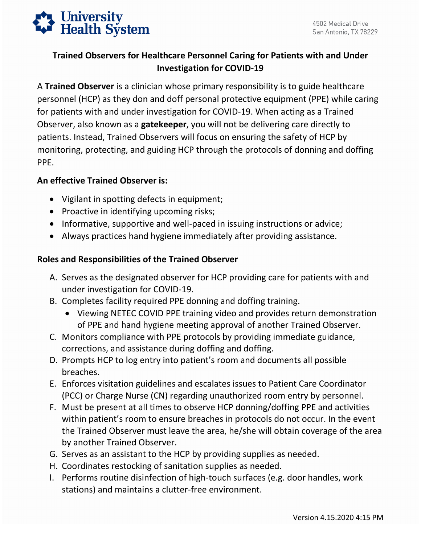

## **Trained Observers for Healthcare Personnel Caring for Patients with and Under Investigation for COVID-19**

 A **Trained Observer** is a clinician whose primary responsibility is to guide healthcare Observer, also known as a **gatekeeper**, you will not be delivering care directly to patients. Instead, Trained Observers will focus on ensuring the safety of HCP by personnel (HCP) as they don and doff personal protective equipment (PPE) while caring for patients with and under investigation for COVID-19. When acting as a Trained monitoring, protecting, and guiding HCP through the protocols of donning and doffing PPE.

## **An effective Trained Observer is:**

- Vigilant in spotting defects in equipment;
- Proactive in identifying upcoming risks;
- Informative, supportive and well-paced in issuing instructions or advice;
- Always practices hand hygiene immediately after providing assistance.

## **Roles and Responsibilities of the Trained Observer**

- A. Serves as the designated observer for HCP providing care for patients with and under investigation for COVID-19.
- B. Completes facility required PPE donning and doffing training.
	- Viewing NETEC COVID PPE training video and provides return demonstration of PPE and hand hygiene meeting approval of another Trained Observer.
- C. Monitors compliance with PPE protocols by providing immediate guidance, corrections, and assistance during doffing and doffing.
- D. Prompts HCP to log entry into patient's room and documents all possible breaches.
- E. Enforces visitation guidelines and escalates issues to Patient Care Coordinator (PCC) or Charge Nurse (CN) regarding unauthorized room entry by personnel.
- F. Must be present at all times to observe HCP donning/doffing PPE and activities within patient's room to ensure breaches in protocols do not occur. In the event the Trained Observer must leave the area, he/she will obtain coverage of the area by another Trained Observer.
- G. Serves as an assistant to the HCP by providing supplies as needed.
- H. Coordinates restocking of sanitation supplies as needed.
- I. Performs routine disinfection of high-touch surfaces (e.g. door handles, work stations) and maintains a clutter-free environment.